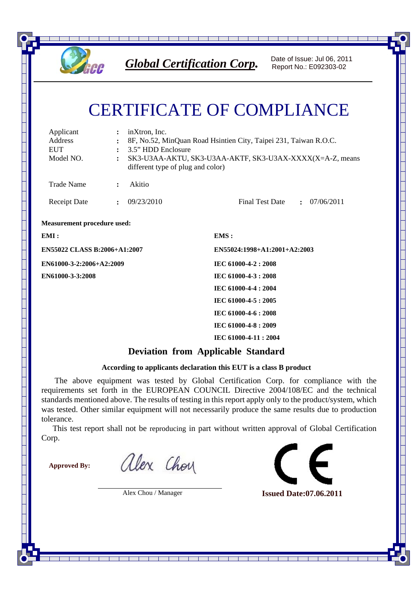

*Global Certification Corp.* Date of Issue: Jul 06, 2011

Report No.: E092303-02

## CERTIFICATE OF COMPLIANCE

| Applicant<br>Address<br><b>EUT</b><br>Model NO. | $\ddot{\cdot}$ | inXtron, Inc.<br>8F, No.52, MinQuan Road Hsintien City, Taipei 231, Taiwan R.O.C.<br>3.5" HDD Enclosure<br>SK3-U3AA-AKTU, SK3-U3AA-AKTF, SK3-U3AX-XXXX(X=A-Z, means<br>different type of plug and color) |                                        |  |
|-------------------------------------------------|----------------|----------------------------------------------------------------------------------------------------------------------------------------------------------------------------------------------------------|----------------------------------------|--|
| <b>Trade Name</b>                               | $\ddot{\cdot}$ | Akitio                                                                                                                                                                                                   |                                        |  |
| <b>Receipt Date</b>                             | $\ddot{\cdot}$ | 09/23/2010                                                                                                                                                                                               | <b>Final Test Date</b><br>: 07/06/2011 |  |
| <b>Measurement procedure used:</b>              |                |                                                                                                                                                                                                          |                                        |  |
| EMI:                                            |                |                                                                                                                                                                                                          | EMS:                                   |  |
| <b>EN55022 CLASS B:2006+A1:2007</b>             |                |                                                                                                                                                                                                          | EN55024:1998+A1:2001+A2:2003           |  |
| EN61000-3-2:2006+A2:2009                        |                |                                                                                                                                                                                                          | IEC 61000-4-2:2008                     |  |
| <b>EN61000-3-3:2008</b>                         |                |                                                                                                                                                                                                          | IEC 61000-4-3 : 2008                   |  |
|                                                 |                |                                                                                                                                                                                                          | IEC 61000-4-4 : 2004                   |  |
|                                                 |                |                                                                                                                                                                                                          | IEC 61000-4-5: 2005                    |  |
|                                                 |                |                                                                                                                                                                                                          | IEC 61000-4-6 : 2008                   |  |
|                                                 |                |                                                                                                                                                                                                          | IEC 61000-4-8: 2009                    |  |
|                                                 |                |                                                                                                                                                                                                          | IEC 61000-4-11:2004                    |  |

## **Deviation from Applicable Standard**

## **According to applicants declaration this EUT is a class B product**

 The above equipment was tested by Global Certification Corp. for compliance with the requirements set forth in the EUROPEAN COUNCIL Directive 2004/108/EC and the technical standards mentioned above. The results of testing in this report apply only to the product/system, which was tested. Other similar equipment will not necessarily produce the same results due to production tolerance.

This test report shall not be reproducing in part without written approval of Global Certification Corp.

 $\overline{\phantom{0}}$ 

**Approved By:**

alex Choy